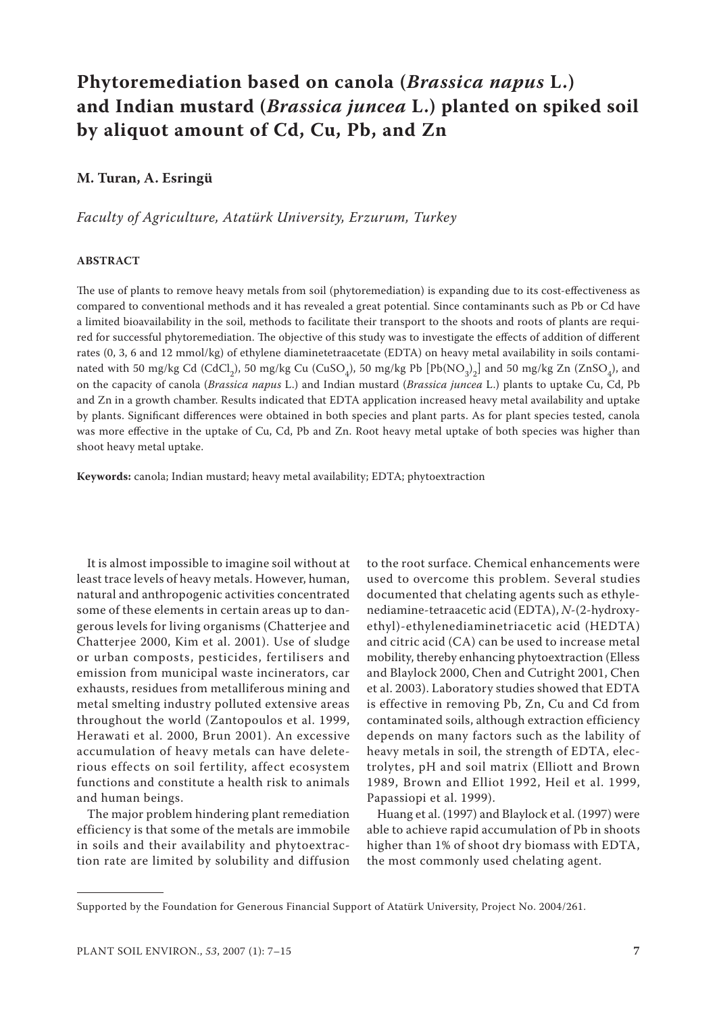# **Phytoremediation based on canola (***Brassica napus* **L.) and Indian mustard (***Brassica juncea* **L.) planted on spiked soil by aliquot amount of Cd, Cu, Pb, and Zn**

# **M. Turan, A. Esringü**

*Faculty of Agriculture, Atatürk University, Erzurum, Turkey*

#### **ABSTRACT**

The use of plants to remove heavy metals from soil (phytoremediation) is expanding due to its cost-effectiveness as compared to conventional methods and it has revealed a great potential. Since contaminants such as Pb or Cd have a limited bioavailability in the soil, methods to facilitate their transport to the shoots and roots of plants are required for successful phytoremediation. The objective of this study was to investigate the effects of addition of different rates (0, 3, 6 and 12 mmol/kg) of ethylene diaminetetraacetate (EDTA) on heavy metal availability in soils contaminated with 50 mg/kg Cd (CdCl<sub>2</sub>), 50 mg/kg Cu (CuSO<sub>4</sub>), 50 mg/kg Pb [Pb(NO<sub>3</sub>)<sub>2</sub>] and 50 mg/kg Zn (ZnSO<sub>4</sub>), and on the capacity of canola (*Brassica napus* L.) and Indian mustard (*Brassica juncea* L.) plants to uptake Cu, Cd, Pb and Zn in a growth chamber. Results indicated that EDTA application increased heavy metal availability and uptake by plants. Significant differences were obtained in both species and plant parts. As for plant species tested, canola was more effective in the uptake of Cu, Cd, Pb and Zn. Root heavy metal uptake of both species was higher than shoot heavy metal uptake.

**Keywords:** canola; Indian mustard; heavy metal availability; EDTA; phytoextraction

It is almost impossible to imagine soil without at least trace levels of heavy metals. However, human, natural and anthropogenic activities concentrated some of these elements in certain areas up to dangerous levels for living organisms (Chatterjee and Chatterjee 2000, Kim et al. 2001). Use of sludge or urban composts, pesticides, fertilisers and emission from municipal waste incinerators, car exhausts, residues from metalliferous mining and metal smelting industry polluted extensive areas throughout the world (Zantopoulos et al. 1999, Herawati et al. 2000, Brun 2001). An excessive accumulation of heavy metals can have deleterious effects on soil fertility, affect ecosystem functions and constitute a health risk to animals and human beings.

The major problem hindering plant remediation efficiency is that some of the metals are immobile in soils and their availability and phytoextraction rate are limited by solubility and diffusion

to the root surface. Chemical enhancements were used to overcome this problem. Several studies documented that chelating agents such as ethylenediamine-tetraacetic acid (EDTA), *N*-(2-hydroxyethyl)-ethylenediaminetriacetic acid (HEDTA) and citric acid (CA) can be used to increase metal mobility, thereby enhancing phytoextraction (Elless and Blaylock 2000, Chen and Cutright 2001, Chen et al. 2003). Laboratory studies showed that EDTA is effective in removing Pb, Zn, Cu and Cd from contaminated soils, although extraction efficiency depends on many factors such as the lability of heavy metals in soil, the strength of EDTA, electrolytes, pH and soil matrix (Elliott and Brown 1989, Brown and Elliot 1992, Heil et al. 1999, Papassiopi et al. 1999).

Huang et al. (1997) and Blaylock et al. (1997) were able to achieve rapid accumulation of Pb in shoots higher than 1% of shoot dry biomass with EDTA, the most commonly used chelating agent.

Supported by the Foundation for Generous Financial Support of Atatürk University, Project No. 2004/261.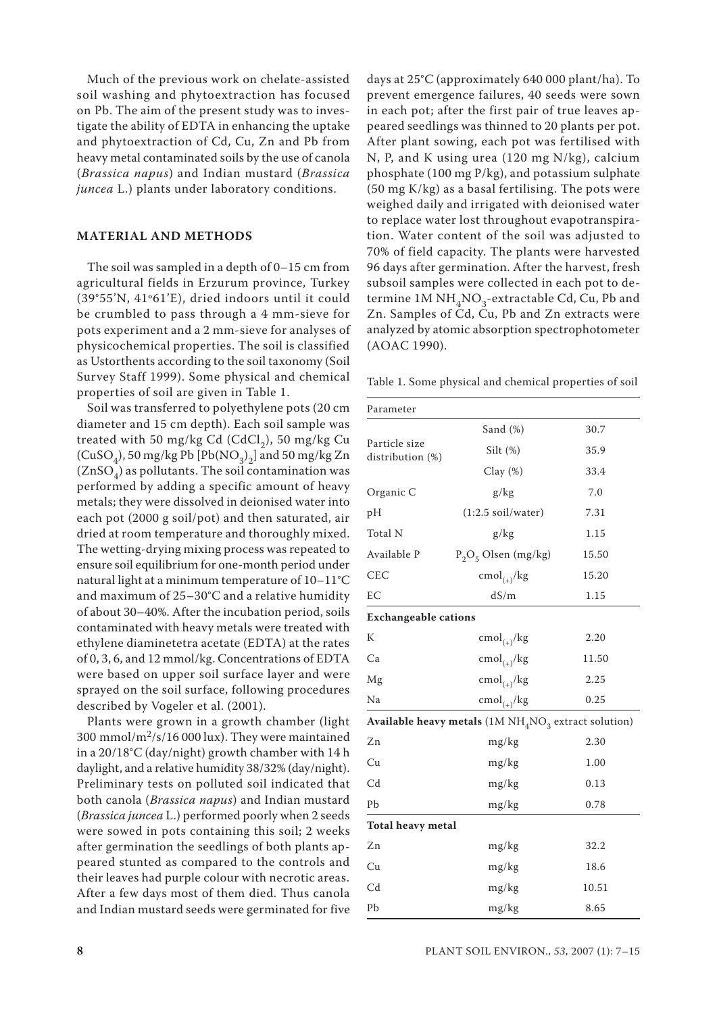Much of the previous work on chelate-assisted soil washing and phytoextraction has focused on Pb. The aim of the present study was to investigate the ability of EDTA in enhancing the uptake and phytoextraction of Cd, Cu, Zn and Pb from heavy metal contaminated soils by the use of canola (*Brassica napus*) and Indian mustard (*Brassica juncea* L.) plants under laboratory conditions.

# **MATERIAL AND METHODS**

The soil was sampled in a depth of 0–15 cm from agricultural fields in Erzurum province, Turkey (39°55'N, 41º61'E), dried indoors until it could be crumbled to pass through a 4 mm-sieve for pots experiment and a 2 mm-sieve for analyses of physicochemical properties. The soil is classified as Ustorthents according to the soil taxonomy (Soil Survey Staff 1999). Some physical and chemical properties of soil are given in Table 1.

Soil was transferred to polyethylene pots (20 cm diameter and 15 cm depth). Each soil sample was treated with 50 mg/kg Cd (CdCl<sub>2</sub>), 50 mg/kg Cu (CuSO<sub>4</sub>), 50 mg/kg Pb [Pb(NO<sub>3</sub>)<sub>2</sub>] and 50 mg/kg Zn  $(ZnSO<sub>4</sub>)$  as pollutants. The soil contamination was performed by adding a specific amount of heavy metals; they were dissolved in deionised water into each pot (2000 g soil/pot) and then saturated, air dried at room temperature and thoroughly mixed. The wetting-drying mixing process was repeated to ensure soil equilibrium for one-month period under natural light at a minimum temperature of 10–11°C and maximum of 25–30°C and a relative humidity of about 30–40%. After the incubation period, soils contaminated with heavy metals were treated with ethylene diaminetetra acetate (EDTA) at the rates of 0, 3, 6, and 12 mmol/kg. Concentrations of EDTA were based on upper soil surface layer and were sprayed on the soil surface, following procedures described by Vogeler et al. (2001).

Plants were grown in a growth chamber (light 300 mmol/ $m^2$ /s/16 000 lux). They were maintained in a 20/18°C (day/night) growth chamber with 14 h daylight, and a relative humidity 38/32% (day/night). Preliminary tests on polluted soil indicated that both canola (*Brassica napus*) and Indian mustard (*Brassica juncea* L.) performed poorly when 2 seeds were sowed in pots containing this soil; 2 weeks after germination the seedlings of both plants appeared stunted as compared to the controls and their leaves had purple colour with necrotic areas. After a few days most of them died. Thus canola and Indian mustard seeds were germinated for five days at 25°C (approximately 640 000 plant/ha). To prevent emergence failures, 40 seeds were sown in each pot; after the first pair of true leaves appeared seedlings was thinned to 20 plants per pot. After plant sowing, each pot was fertilised with N, P, and K using urea (120 mg N/kg), calcium phosphate (100 mg P/kg), and potassium sulphate (50 mg K/kg) as a basal fertilising. The pots were weighed daily and irrigated with deionised water to replace water lost throughout evapotranspiration. Water content of the soil was adjusted to 70% of field capacity. The plants were harvested 96 days after germination. After the harvest, fresh subsoil samples were collected in each pot to determine  $1M NH<sub>A</sub>NO<sub>2</sub>$ -extractable Cd, Cu, Pb and Zn. Samples of Cd, Cu, Pb and Zn extracts were analyzed by atomic absorption spectrophotometer (AOAC 1990).

Table 1. Some physical and chemical properties of soil

| Parameter                                                |                              |       |  |  |  |  |
|----------------------------------------------------------|------------------------------|-------|--|--|--|--|
|                                                          | Sand (%)                     | 30.7  |  |  |  |  |
| Particle size<br>distribution (%)                        | Silt $(\%)$                  | 35.9  |  |  |  |  |
|                                                          | Clay $(\%)$                  | 33.4  |  |  |  |  |
| Organic C                                                | g/kg                         | 7.0   |  |  |  |  |
| pH                                                       | $(1:2.5 \text{ soil/water})$ | 7.31  |  |  |  |  |
| Total N                                                  | g/kg                         | 1.15  |  |  |  |  |
| Available P                                              | $P_2O_5$ Olsen (mg/kg)       | 15.50 |  |  |  |  |
| <b>CEC</b>                                               | $\text{cmol}_{(+)}$ /kg      | 15.20 |  |  |  |  |
| EC                                                       | dS/m                         | 1.15  |  |  |  |  |
| <b>Exchangeable cations</b>                              |                              |       |  |  |  |  |
| K                                                        | $\text{cmol}_{(+)}$ /kg      | 2.20  |  |  |  |  |
| Ca                                                       | $\text{cmol}_{(+)}$ /kg      | 11.50 |  |  |  |  |
| Mg                                                       | $\text{cmol}_{(+)}$ /kg      | 2.25  |  |  |  |  |
| Na                                                       | $\text{cmol}_{(+)}$ /kg      | 0.25  |  |  |  |  |
| Available heavy metals $(1M NH_4NO_3)$ extract solution) |                              |       |  |  |  |  |
| Zn                                                       | mg/kg                        | 2.30  |  |  |  |  |
| Cu                                                       | mg/kg                        | 1.00  |  |  |  |  |
| C <sub>d</sub>                                           | mg/kg                        | 0.13  |  |  |  |  |
| Pb                                                       | mg/kg                        | 0.78  |  |  |  |  |
| <b>Total heavy metal</b>                                 |                              |       |  |  |  |  |
| Zn                                                       | mg/kg                        | 32.2  |  |  |  |  |
| Cu                                                       | mg/kg                        | 18.6  |  |  |  |  |
| C <sub>d</sub>                                           | mg/kg<br>10.51               |       |  |  |  |  |
| Pb                                                       | mg/kg                        | 8.65  |  |  |  |  |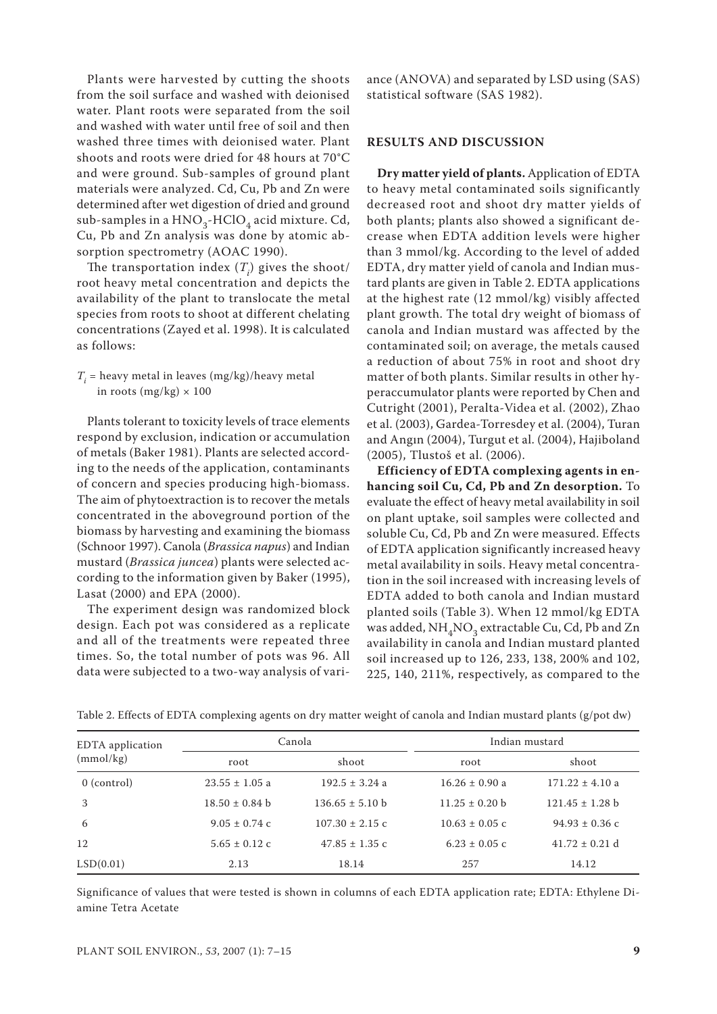Plants were harvested by cutting the shoots from the soil surface and washed with deionised water. Plant roots were separated from the soil and washed with water until free of soil and then washed three times with deionised water. Plant shoots and roots were dried for 48 hours at 70°C and were ground. Sub-samples of ground plant materials were analyzed. Cd, Cu, Pb and Zn were determined after wet digestion of dried and ground sub-samples in a  $HNO<sub>3</sub>$ -HClO<sub>4</sub> acid mixture. Cd, Cu, Pb and Zn analysis was done by atomic absorption spectrometry (AOAC 1990).

The transportation index  $(T_i)$  gives the shoot/ root heavy metal concentration and depicts the availability of the plant to translocate the metal species from roots to shoot at different chelating concentrations (Zayed et al. 1998). It is calculated as follows:

# $T_i$  = heavy metal in leaves (mg/kg)/heavy metal in roots (mg/kg)  $\times$  100

Plants tolerant to toxicity levels of trace elements respond by exclusion, indication or accumulation of metals (Baker 1981). Plants are selected according to the needs of the application, contaminants of concern and species producing high-biomass. The aim of phytoextraction is to recover the metals concentrated in the aboveground portion of the biomass by harvesting and examining the biomass (Schnoor 1997). Canola (*Brassica napus*) and Indian mustard (*Brassica juncea*) plants were selected according to the information given by Baker (1995), Lasat (2000) and EPA (2000).

The experiment design was randomized block design. Each pot was considered as a replicate and all of the treatments were repeated three times. So, the total number of pots was 96. All data were subjected to a two-way analysis of vari-

ance (ANOVA) and separated by LSD using (SAS) statistical software (SAS 1982).

### **RESULTS AND DISCUSSION**

**Dry matter yield of plants.** Application of EDTA to heavy metal contaminated soils significantly decreased root and shoot dry matter yields of both plants; plants also showed a significant decrease when EDTA addition levels were higher than 3 mmol/kg. According to the level of added EDTA, dry matter yield of canola and Indian mustard plants are given in Table 2. EDTA applications at the highest rate (12 mmol/kg) visibly affected plant growth. The total dry weight of biomass of canola and Indian mustard was affected by the contaminated soil; on average, the metals caused a reduction of about 75% in root and shoot dry matter of both plants. Similar results in other hyperaccumulator plants were reported by Chen and Cutright (2001), Peralta-Videa et al. (2002), Zhao et al. (2003), Gardea-Torresdey et al. (2004), Turan and Angın (2004), Turgut et al. (2004), Hajiboland (2005), Tlustoš et al. (2006).

**Efficiency of EDTA complexing agents in enhancing soil Cu, Cd, Pb and Zn desorption.** To evaluate the effect of heavy metal availability in soil on plant uptake, soil samples were collected and soluble Cu, Cd, Pb and Zn were measured. Effects of EDTA application significantly increased heavy metal availability in soils. Heavy metal concentration in the soil increased with increasing levels of EDTA added to both canola and Indian mustard planted soils (Table 3). When 12 mmol/kg EDTA was added,  $NH<sub>4</sub>NO<sub>3</sub>$  extractable Cu, Cd, Pb and Zn availability in canola and Indian mustard planted soil increased up to 126, 233, 138, 200% and 102, 225, 140, 211%, respectively, as compared to the

| EDTA application | Canola             |                             | Indian mustard     |                     |
|------------------|--------------------|-----------------------------|--------------------|---------------------|
| (mmol/kg)        | root               | shoot                       | root               | shoot               |
| $0$ (control)    | $23.55 \pm 1.05$ a | $192.5 \pm 3.24$ a          | $16.26 \pm 0.90$ a | $171.22 \pm 4.10$ a |
| 3                | $18.50 \pm 0.84$ b | $136.65 \pm 5.10 \text{ b}$ | $11.25 \pm 0.20$ b | $121.45 \pm 1.28$ b |
| 6                | $9.05 \pm 0.74$ c  | $107.30 \pm 2.15$ c         | $10.63 \pm 0.05$ c | $94.93 \pm 0.36$ c  |
| 12               | $5.65 \pm 0.12$ c  | $47.85 \pm 1.35$ c          | $6.23 \pm 0.05$ c  | $41.72 \pm 0.21$ d  |
| LSD(0.01)        | 2.13               | 18.14                       | 257                | 14.12               |

Table 2. Effects of EDTA complexing agents on dry matter weight of canola and Indian mustard plants (g/pot dw)

Significance of values that were tested is shown in columns of each EDTA application rate; EDTA: Ethylene Diamine Tetra Acetate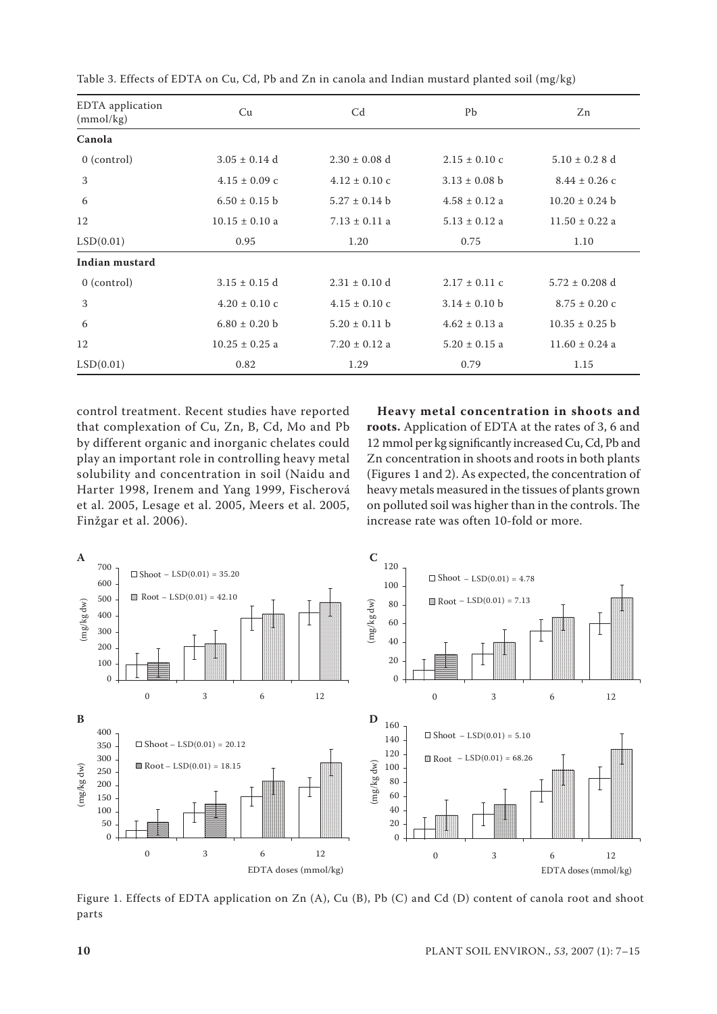| EDTA application<br>(mmol/kg) | Cu                 | C <sub>d</sub>    | Pb                | Zn                 |
|-------------------------------|--------------------|-------------------|-------------------|--------------------|
| Canola                        |                    |                   |                   |                    |
| $0$ (control)                 | $3.05 \pm 0.14$ d  | $2.30 \pm 0.08$ d | $2.15 \pm 0.10$ c | $5.10 \pm 0.28$ d  |
| 3                             | $4.15 \pm 0.09$ c  | $4.12 \pm 0.10$ c | $3.13 \pm 0.08$ b | $8.44 \pm 0.26$ c  |
| 6                             | $6.50 \pm 0.15$ b  | $5.27 \pm 0.14$ b | $4.58 \pm 0.12$ a | $10.20 \pm 0.24$ b |
| 12                            | $10.15 \pm 0.10$ a | $7.13 \pm 0.11$ a | $5.13 \pm 0.12$ a | $11.50 \pm 0.22$ a |
| LSD(0.01)                     | 0.95               | 1.20              | 0.75              | 1.10               |
| Indian mustard                |                    |                   |                   |                    |
| $0$ (control)                 | $3.15 \pm 0.15$ d  | $2.31 \pm 0.10$ d | $2.17 \pm 0.11$ c | $5.72 \pm 0.208$ d |
| 3                             | $4.20 \pm 0.10$ c  | $4.15 \pm 0.10$ c | $3.14 \pm 0.10$ b | $8.75 \pm 0.20$ c  |
| 6                             | $6.80 \pm 0.20$ b  | $5.20 \pm 0.11$ b | $4.62 \pm 0.13$ a | $10.35 \pm 0.25$ b |
| 12                            | $10.25 \pm 0.25$ a | $7.20 \pm 0.12$ a | $5.20 \pm 0.15$ a | $11.60 \pm 0.24$ a |
| LSD(0.01)                     | 0.82               | 1.29              | 0.79              | 1.15               |

Table 3. Effects of EDTA on Cu, Cd, Pb and Zn in canola and Indian mustard planted soil (mg/kg)

control treatment. Recent studies have reported that complexation of Cu, Zn, B, Cd, Mo and Pb by different organic and inorganic chelates could play an important role in controlling heavy metal solubility and concentration in soil (Naidu and Harter 1998, Irenem and Yang 1999, Fischerová et al. 2005, Lesage et al. 2005, Meers et al. 2005, Finžgar et al. 2006).

**Heavy metal concentration in shoots and roots.** Application of EDTA at the rates of 3, 6 and 12 mmol per kg significantly increased Cu, Cd, Pb and Zn concentration in shoots and roots in both plants (Figures 1 and 2). As expected, the concentration of heavy metals measured in the tissues of plants grown on polluted soil was higher than in the controls. The increase rate was often 10-fold or more.



Figure 1. Effects of EDTA application on Zn (A), Cu (B), Pb (C) and Cd (D) content of canola root and shoot parts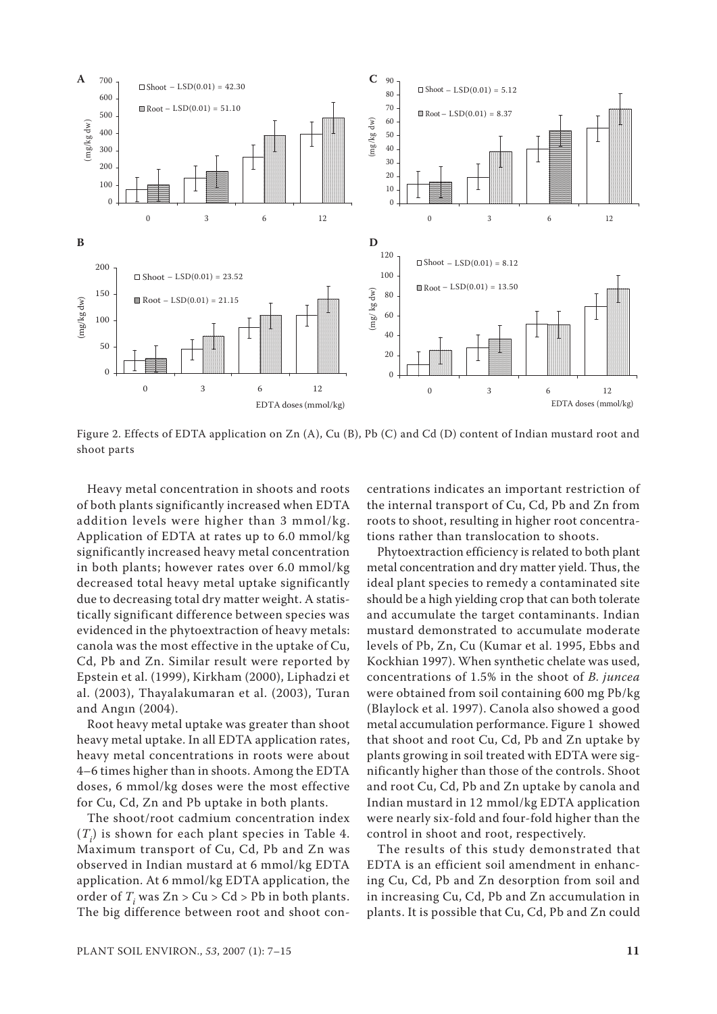

Figure 2. Effects of EDTA application on Zn (A), Cu (B), Pb (C) and Cd (D) content of Indian mustard root and shoot parts

Heavy metal concentration in shoots and roots of both plants significantly increased when EDTA addition levels were higher than 3 mmol/kg. Application of EDTA at rates up to 6.0 mmol/kg significantly increased heavy metal concentration in both plants; however rates over 6.0 mmol/kg decreased total heavy metal uptake significantly due to decreasing total dry matter weight. A statistically significant difference between species was evidenced in the phytoextraction of heavy metals: canola was the most effective in the uptake of Cu, Cd, Pb and Zn. Similar result were reported by Epstein et al. (1999), Kirkham (2000), Liphadzi et al. (2003), Thayalakumaran et al. (2003), Turan and Angın (2004).

Root heavy metal uptake was greater than shoot heavy metal uptake. In all EDTA application rates, heavy metal concentrations in roots were about 4–6 times higher than in shoots. Among the EDTA doses, 6 mmol/kg doses were the most effective for Cu, Cd, Zn and Pb uptake in both plants.

The shoot/root cadmium concentration index  $(T_i)$  is shown for each plant species in Table 4. Maximum transport of Cu, Cd, Pb and Zn was observed in Indian mustard at 6 mmol/kg EDTA application. At 6 mmol/kg EDTA application, the order of *Ti* was Zn > Cu > Cd > Pb in both plants. The big difference between root and shoot concentrations indicates an important restriction of the internal transport of Cu, Cd, Pb and Zn from roots to shoot, resulting in higher root concentrations rather than translocation to shoots.

Phytoextraction efficiency is related to both plant metal concentration and dry matter yield. Thus, the ideal plant species to remedy a contaminated site should be a high yielding crop that can both tolerate and accumulate the target contaminants. Indian mustard demonstrated to accumulate moderate levels of Pb, Zn, Cu (Kumar et al. 1995, Ebbs and Kockhian 1997). When synthetic chelate was used, concentrations of 1.5% in the shoot of *B. juncea*  were obtained from soil containing 600 mg Pb/kg (Blaylock et al. 1997). Canola also showed a good metal accumulation performance. Figure 1 showed that shoot and root Cu, Cd, Pb and Zn uptake by plants growing in soil treated with EDTA were significantly higher than those of the controls. Shoot and root Cu, Cd, Pb and Zn uptake by canola and Indian mustard in 12 mmol/kg EDTA application were nearly six-fold and four-fold higher than the control in shoot and root, respectively.

The results of this study demonstrated that EDTA is an efficient soil amendment in enhancing Cu, Cd, Pb and Zn desorption from soil and in increasing Cu, Cd, Pb and Zn accumulation in plants. It is possible that Cu, Cd, Pb and Zn could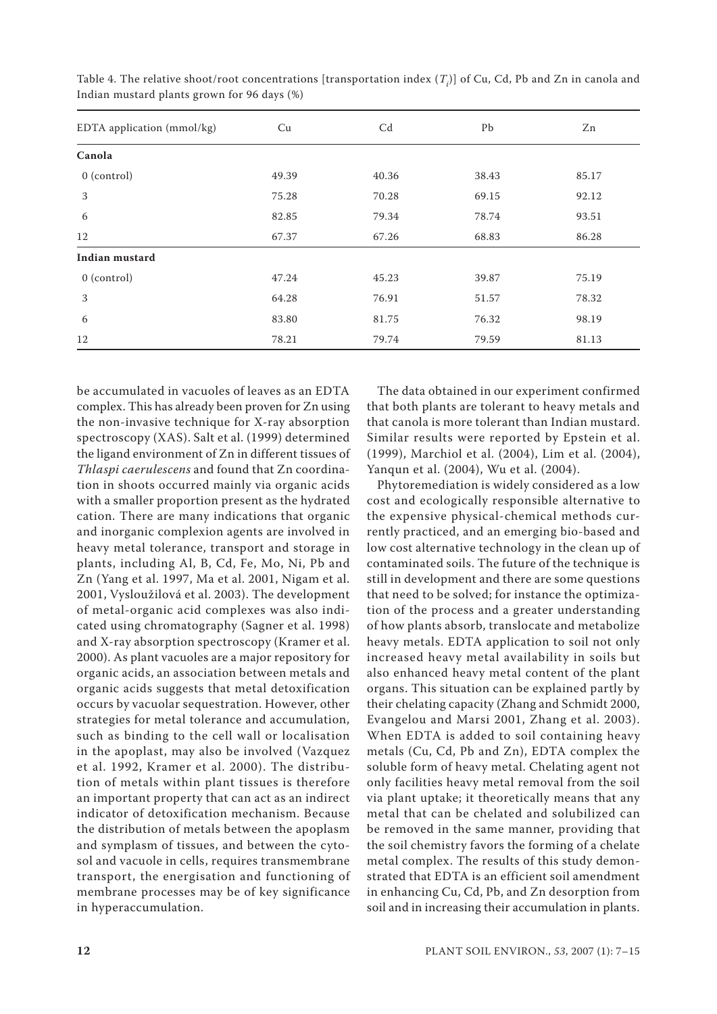| EDTA application (mmol/kg) | Cu    | C <sub>d</sub> | Pb    | Zn    |
|----------------------------|-------|----------------|-------|-------|
| Canola                     |       |                |       |       |
| $0$ (control)              | 49.39 | 40.36          | 38.43 | 85.17 |
| 3                          | 75.28 | 70.28          | 69.15 | 92.12 |
| 6                          | 82.85 | 79.34          | 78.74 | 93.51 |
| 12                         | 67.37 | 67.26          | 68.83 | 86.28 |
| Indian mustard             |       |                |       |       |
| $0$ (control)              | 47.24 | 45.23          | 39.87 | 75.19 |
| 3                          | 64.28 | 76.91          | 51.57 | 78.32 |
| 6                          | 83.80 | 81.75          | 76.32 | 98.19 |
| 12                         | 78.21 | 79.74          | 79.59 | 81.13 |

Table 4. The relative shoot/root concentrations [transportation index  $(T_{\vec{i}})$ ] of Cu, Cd, Pb and Zn in canola and Indian mustard plants grown for 96 days (%)

be accumulated in vacuoles of leaves as an EDTA complex. This has already been proven for Zn using the non-invasive technique for X-ray absorption spectroscopy (XAS). Salt et al. (1999) determined the ligand environment of Zn in different tissues of *Thlaspi caerulescens* and found that Zn coordination in shoots occurred mainly via organic acids with a smaller proportion present as the hydrated cation. There are many indications that organic and inorganic complexion agents are involved in heavy metal tolerance, transport and storage in plants, including Al, B, Cd, Fe, Mo, Ni, Pb and Zn (Yang et al. 1997, Ma et al. 2001, Nigam et al. 2001, Vysloužilová et al. 2003). The development of metal-organic acid complexes was also indicated using chromatography (Sagner et al. 1998) and X-ray absorption spectroscopy (Kramer et al. 2000). As plant vacuoles are a major repository for organic acids, an association between metals and organic acids suggests that metal detoxification occurs by vacuolar sequestration. However, other strategies for metal tolerance and accumulation, such as binding to the cell wall or localisation in the apoplast, may also be involved (Vazquez et al. 1992, Kramer et al. 2000). The distribution of metals within plant tissues is therefore an important property that can act as an indirect indicator of detoxification mechanism. Because the distribution of metals between the apoplasm and symplasm of tissues, and between the cytosol and vacuole in cells, requires transmembrane transport, the energisation and functioning of membrane processes may be of key significance in hyperaccumulation.

The data obtained in our experiment confirmed that both plants are tolerant to heavy metals and that canola is more tolerant than Indian mustard. Similar results were reported by Epstein et al. (1999), Marchiol et al. (2004), Lim et al. (2004), Yanqun et al. (2004), Wu et al. (2004).

Phytoremediation is widely considered as a low cost and ecologically responsible alternative to the expensive physical-chemical methods currently practiced, and an emerging bio-based and low cost alternative technology in the clean up of contaminated soils. The future of the technique is still in development and there are some questions that need to be solved; for instance the optimization of the process and a greater understanding of how plants absorb, translocate and metabolize heavy metals. EDTA application to soil not only increased heavy metal availability in soils but also enhanced heavy metal content of the plant organs. This situation can be explained partly by their chelating capacity (Zhang and Schmidt 2000, Evangelou and Marsi 2001, Zhang et al. 2003). When EDTA is added to soil containing heavy metals (Cu, Cd, Pb and Zn), EDTA complex the soluble form of heavy metal. Chelating agent not only facilities heavy metal removal from the soil via plant uptake; it theoretically means that any metal that can be chelated and solubilized can be removed in the same manner, providing that the soil chemistry favors the forming of a chelate metal complex. The results of this study demonstrated that EDTA is an efficient soil amendment in enhancing Cu, Cd, Pb, and Zn desorption from soil and in increasing their accumulation in plants.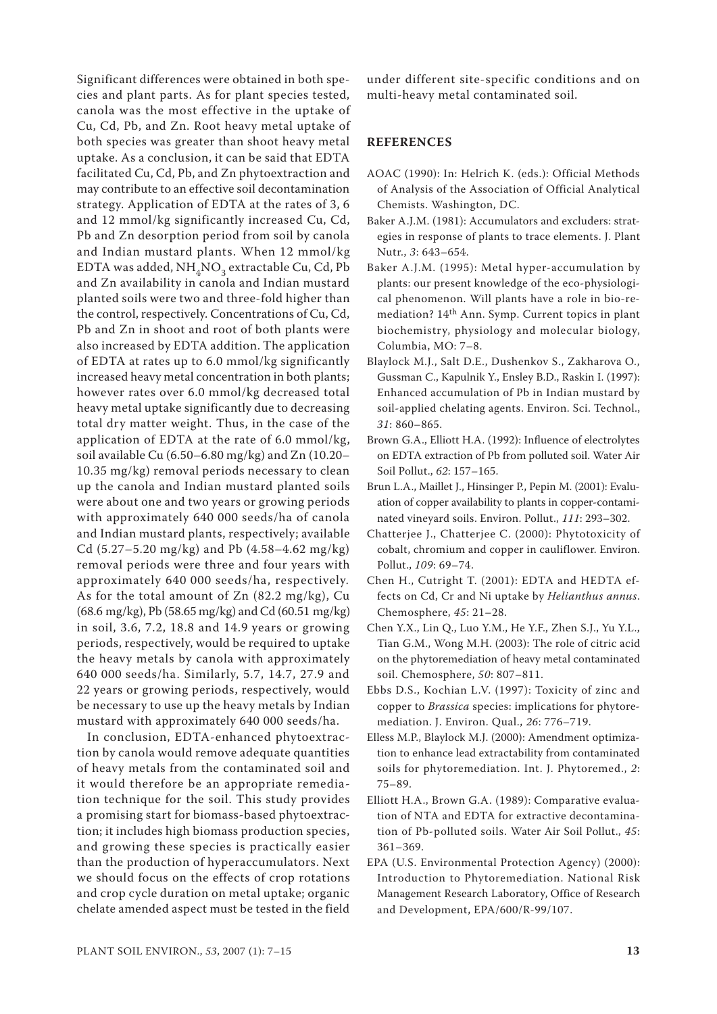Significant differences were obtained in both species and plant parts. As for plant species tested, canola was the most effective in the uptake of Cu, Cd, Pb, and Zn. Root heavy metal uptake of both species was greater than shoot heavy metal uptake. As a conclusion, it can be said that EDTA facilitated Cu, Cd, Pb, and Zn phytoextraction and may contribute to an effective soil decontamination strategy. Application of EDTA at the rates of 3, 6 and 12 mmol/kg significantly increased Cu, Cd, Pb and Zn desorption period from soil by canola and Indian mustard plants. When 12 mmol/kg EDTA was added,  $NH<sub>4</sub>NO<sub>3</sub>$  extractable Cu, Cd, Pb and Zn availability in canola and Indian mustard planted soils were two and three-fold higher than the control, respectively. Concentrations of Cu, Cd, Pb and Zn in shoot and root of both plants were also increased by EDTA addition. The application of EDTA at rates up to 6.0 mmol/kg significantly increased heavy metal concentration in both plants; however rates over 6.0 mmol/kg decreased total heavy metal uptake significantly due to decreasing total dry matter weight. Thus, in the case of the application of EDTA at the rate of 6.0 mmol/kg, soil available Cu (6.50–6.80 mg/kg) and Zn (10.20– 10.35 mg/kg) removal periods necessary to clean up the canola and Indian mustard planted soils were about one and two years or growing periods with approximately 640 000 seeds/ha of canola and Indian mustard plants, respectively; available Cd (5.27–5.20 mg/kg) and Pb (4.58–4.62 mg/kg) removal periods were three and four years with approximately 640 000 seeds/ha, respectively*.*  As for the total amount of Zn (82.2 mg/kg), Cu (68.6 mg/kg), Pb (58.65 mg/kg) and Cd (60.51 mg/kg) in soil, 3.6, 7.2, 18.8 and 14.9 years or growing periods, respectively, would be required to uptake the heavy metals by canola with approximately 640 000 seeds/ha. Similarly, 5.7, 14.7, 27.9 and 22 years or growing periods, respectively, would be necessary to use up the heavy metals by Indian mustard with approximately 640 000 seeds/ha.

In conclusion, EDTA-enhanced phytoextraction by canola would remove adequate quantities of heavy metals from the contaminated soil and it would therefore be an appropriate remediation technique for the soil. This study provides a promising start for biomass-based phytoextraction; it includes high biomass production species, and growing these species is practically easier than the production of hyperaccumulators. Next we should focus on the effects of crop rotations and crop cycle duration on metal uptake; organic chelate amended aspect must be tested in the field

under different site-specific conditions and on multi-heavy metal contaminated soil.

### **REFERENCES**

- AOAC (1990): In: Helrich K. (eds.): Official Methods of Analysis of the Association of Official Analytical Chemists. Washington, DC.
- Baker A.J.M. (1981): Accumulators and excluders: strategies in response of plants to trace elements. J. Plant Nutr., *3*: 643–654.
- Baker A.J.M. (1995): Metal hyper-accumulation by plants: our present knowledge of the eco-physiological phenomenon. Will plants have a role in bio-remediation? 14th Ann. Symp. Current topics in plant biochemistry, physiology and molecular biology, Columbia, MO: 7–8.
- Blaylock M.J., Salt D.E., Dushenkov S., Zakharova O., Gussman C., Kapulnik Y., Ensley B.D., Raskin I. (1997): Enhanced accumulation of Pb in Indian mustard by soil-applied chelating agents. Environ. Sci. Technol., *31*: 860–865.
- Brown G.A., Elliott H.A. (1992): Influence of electrolytes on EDTA extraction of Pb from polluted soil. Water Air Soil Pollut., *62*: 157–165.
- Brun L.A., Maillet J., Hinsinger P., Pepin M. (2001): Evaluation of copper availability to plants in copper-contaminated vineyard soils. Environ. Pollut., *111*: 293–302.
- Chatterjee J., Chatterjee C. (2000): Phytotoxicity of cobalt, chromium and copper in cauliflower. Environ. Pollut., *109*: 69–74.
- Chen H., Cutright T. (2001): EDTA and HEDTA effects on Cd, Cr and Ni uptake by *Helianthus annus*. Chemosphere, *45*: 21–28.
- Chen Y.X., Lin Q., Luo Y.M., He Y.F., Zhen S.J., Yu Y.L., Tian G.M., Wong M.H. (2003): The role of citric acid on the phytoremediation of heavy metal contaminated soil. Chemosphere, *50*: 807–811.
- Ebbs D.S., Kochian L.V. (1997): Toxicity of zinc and copper to *Brassica* species: implications for phytoremediation. J. Environ. Qual., *26*: 776–719.
- Elless M.P., Blaylock M.J. (2000): Amendment optimization to enhance lead extractability from contaminated soils for phytoremediation. Int. J. Phytoremed., *2*: 75–89.
- Elliott H.A., Brown G.A. (1989): Comparative evaluation of NTA and EDTA for extractive decontamination of Pb-polluted soils. Water Air Soil Pollut., *45*: 361–369.
- EPA (U.S. Environmental Protection Agency) (2000): Introduction to Phytoremediation. National Risk Management Research Laboratory, Office of Research and Development, EPA/600/R-99/107.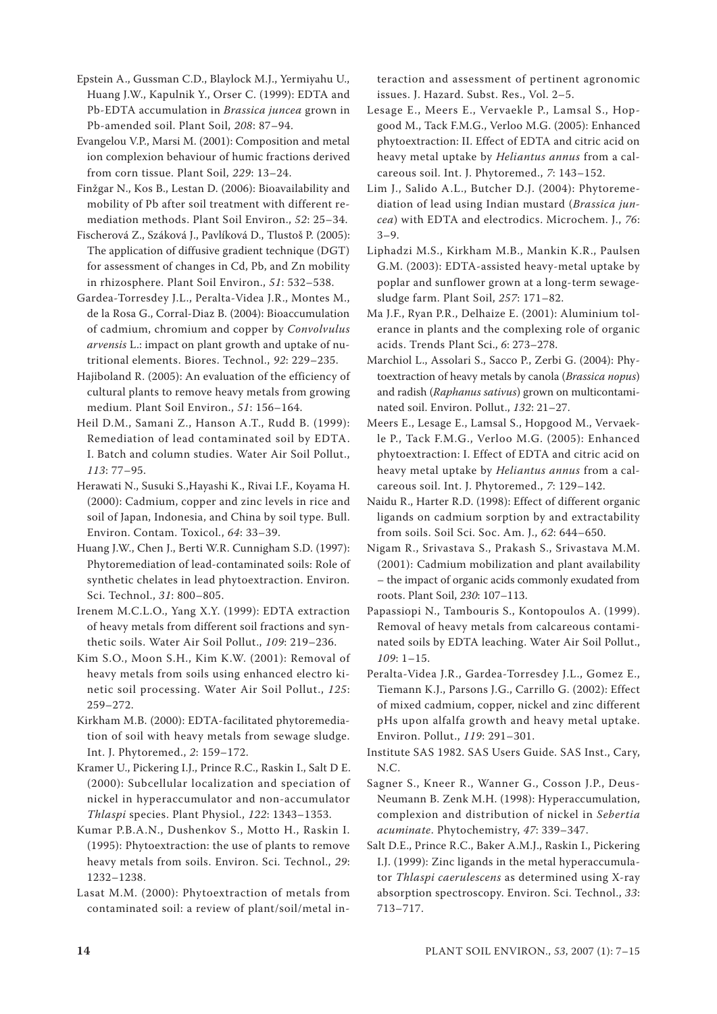Epstein A., Gussman C.D., Blaylock M.J., Yermiyahu U., Huang J.W., Kapulnik Y., Orser C. (1999): EDTA and Pb-EDTA accumulation in *Brassica juncea* grown in Pb-amended soil. Plant Soil, *208*: 87–94.

Evangelou V.P., Marsi M. (2001): Composition and metal ion complexion behaviour of humic fractions derived from corn tissue. Plant Soil, *229*: 13–24.

Finžgar N., Kos B., Lestan D. (2006): Bioavailability and mobility of Pb after soil treatment with different remediation methods. Plant Soil Environ., *52*: 25–34.

Fischerová Z., Száková J., Pavlíková D., Tlustoš P. (2005): The application of diffusive gradient technique (DGT) for assessment of changes in Cd, Pb, and Zn mobility in rhizosphere. Plant Soil Environ., *51*: 532–538.

Gardea-Torresdey J.L., Peralta-Videa J.R., Montes M., de la Rosa G., Corral-Diaz B. (2004): Bioaccumulation of cadmium, chromium and copper by *Convolvulus arvensis* L.: impact on plant growth and uptake of nutritional elements. Biores. Technol., *92*: 229–235.

Hajiboland R. (2005): An evaluation of the efficiency of cultural plants to remove heavy metals from growing medium. Plant Soil Environ., *51*: 156–164.

Heil D.M., Samani Z., Hanson A.T., Rudd B. (1999): Remediation of lead contaminated soil by EDTA. I. Batch and column studies. Water Air Soil Pollut., *113*: 77–95.

Herawati N., Susuki S.,Hayashi K., Rivai I.F., Koyama H. (2000): Cadmium, copper and zinc levels in rice and soil of Japan, Indonesia, and China by soil type. Bull. Environ. Contam. Toxicol., *64*: 33–39.

Huang J.W., Chen J., Berti W.R. Cunnigham S.D. (1997): Phytoremediation of lead-contaminated soils: Role of synthetic chelates in lead phytoextraction. Environ. Sci. Technol., *31*: 800–805.

Irenem M.C.L.O., Yang X.Y. (1999): EDTA extraction of heavy metals from different soil fractions and synthetic soils. Water Air Soil Pollut., *109*: 219–236.

Kim S.O., Moon S.H., Kim K.W. (2001): Removal of heavy metals from soils using enhanced electro kinetic soil processing. Water Air Soil Pollut., *125*: 259–272.

Kirkham M.B. (2000): EDTA-facilitated phytoremediation of soil with heavy metals from sewage sludge. Int. J. Phytoremed., *2*: 159–172.

Kramer U., Pickering I.J., Prince R.C., Raskin I., Salt D E. (2000): Subcellular localization and speciation of nickel in hyperaccumulator and non-accumulator *Thlaspi* species. Plant Physiol., *122*: 1343–1353.

Kumar P.B.A.N., Dushenkov S., Motto H., Raskin I. (1995): Phytoextraction: the use of plants to remove heavy metals from soils. Environ. Sci. Technol., *29*: 1232–1238.

Lasat M.M. (2000): Phytoextraction of metals from contaminated soil: a review of plant/soil/metal interaction and assessment of pertinent agronomic issues. J. Hazard. Subst. Res., Vol. 2–5.

Lesage E., Meers E., Vervaekle P., Lamsal S., Hopgood M., Tack F.M.G., Verloo M.G. (2005): Enhanced phytoextraction: II. Effect of EDTA and citric acid on heavy metal uptake by *Heliantus annus* from a calcareous soil. Int. J. Phytoremed., *7*: 143–152.

Lim J., Salido A.L., Butcher D.J. (2004): Phytoremediation of lead using Indian mustard (*Brassica juncea*) with EDTA and electrodics. Microchem. J., *76*:  $3 - 9$ .

Liphadzi M.S., Kirkham M.B., Mankin K.R., Paulsen G.M. (2003): EDTA-assisted heavy-metal uptake by poplar and sunflower grown at a long-term sewagesludge farm. Plant Soil, *257*: 171–82.

Ma J.F., Ryan P.R., Delhaize E. (2001): Aluminium tolerance in plants and the complexing role of organic acids. Trends Plant Sci., *6*: 273–278.

Marchiol L., Assolari S., Sacco P., Zerbi G. (2004): Phytoextraction of heavy metals by canola (*Brassica nopus*) and radish (*Raphanus sativus*) grown on multicontaminated soil. Environ. Pollut., *132*: 21–27.

Meers E., Lesage E., Lamsal S., Hopgood M., Vervaekle P., Tack F.M.G., Verloo M.G. (2005): Enhanced phytoextraction: I. Effect of EDTA and citric acid on heavy metal uptake by *Heliantus annus* from a calcareous soil. Int. J. Phytoremed., *7*: 129–142.

Naidu R., Harter R.D. (1998): Effect of different organic ligands on cadmium sorption by and extractability from soils. Soil Sci. Soc. Am. J., *62*: 644–650.

Nigam R., Srivastava S., Prakash S., Srivastava M.M. (2001): Cadmium mobilization and plant availability – the impact of organic acids commonly exudated from roots. Plant Soil, *230*: 107–113.

Papassiopi N., Tambouris S., Kontopoulos A. (1999). Removal of heavy metals from calcareous contaminated soils by EDTA leaching. Water Air Soil Pollut., *109*: 1–15.

Peralta-Videa J.R., Gardea-Torresdey J.L., Gomez E., Tiemann K.J., Parsons J.G., Carrillo G. (2002): Effect of mixed cadmium, copper, nickel and zinc different pHs upon alfalfa growth and heavy metal uptake. Environ. Pollut., *119*: 291–301.

Institute SAS 1982. SAS Users Guide. SAS Inst., Cary, N.C.

Sagner S., Kneer R., Wanner G., Cosson J.P., Deus-Neumann B. Zenk M.H. (1998): Hyperaccumulation, complexion and distribution of nickel in *Sebertia acuminate*. Phytochemistry, *47*: 339–347.

Salt D.E., Prince R.C., Baker A.M.J., Raskin I., Pickering I.J. (1999): Zinc ligands in the metal hyperaccumulator *Thlaspi caerulescens* as determined using X-ray absorption spectroscopy. Environ. Sci. Technol., *33*: 713–717.